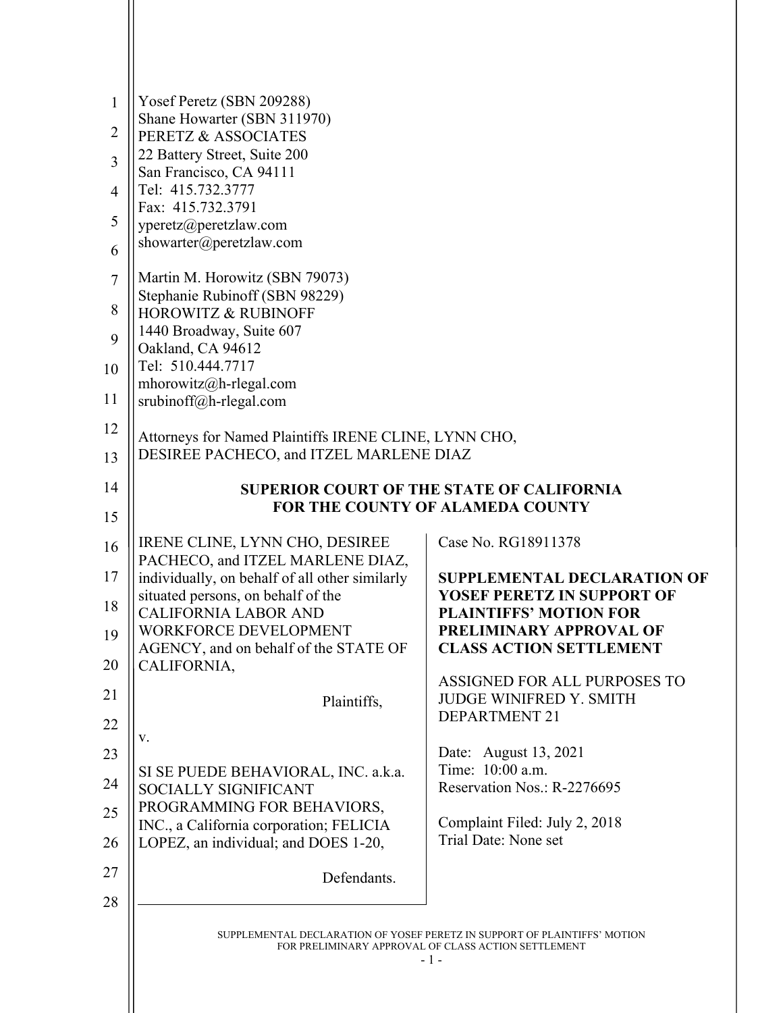| $\mathbf{1}$<br>$\overline{2}$<br>3<br>$\overline{4}$<br>5<br>6<br>$\tau$<br>8<br>9<br>10<br>11 | Yosef Peretz (SBN 209288)<br>Shane Howarter (SBN 311970)<br>PERETZ & ASSOCIATES<br>22 Battery Street, Suite 200<br>San Francisco, CA 94111<br>Tel: 415.732.3777<br>Fax: 415.732.3791<br>yperetz@peretzlaw.com<br>showarter@peretzlaw.com<br>Martin M. Horowitz (SBN 79073)<br>Stephanie Rubinoff (SBN 98229)<br><b>HOROWITZ &amp; RUBINOFF</b><br>1440 Broadway, Suite 607<br>Oakland, CA 94612<br>Tel: 510.444.7717<br>mhorowitz@h-rlegal.com |                                                                |
|-------------------------------------------------------------------------------------------------|------------------------------------------------------------------------------------------------------------------------------------------------------------------------------------------------------------------------------------------------------------------------------------------------------------------------------------------------------------------------------------------------------------------------------------------------|----------------------------------------------------------------|
| 12                                                                                              | srubinoff@h-rlegal.com<br>Attorneys for Named Plaintiffs IRENE CLINE, LYNN CHO,<br>DESIREE PACHECO, and ITZEL MARLENE DIAZ                                                                                                                                                                                                                                                                                                                     |                                                                |
| 13                                                                                              |                                                                                                                                                                                                                                                                                                                                                                                                                                                |                                                                |
| 14                                                                                              | <b>SUPERIOR COURT OF THE STATE OF CALIFORNIA</b><br><b>FOR THE COUNTY OF ALAMEDA COUNTY</b>                                                                                                                                                                                                                                                                                                                                                    |                                                                |
| 15                                                                                              |                                                                                                                                                                                                                                                                                                                                                                                                                                                |                                                                |
| 16                                                                                              | IRENE CLINE, LYNN CHO, DESIREE<br>PACHECO, and ITZEL MARLENE DIAZ,                                                                                                                                                                                                                                                                                                                                                                             | Case No. RG18911378                                            |
| 17                                                                                              | individually, on behalf of all other similarly                                                                                                                                                                                                                                                                                                                                                                                                 | <b>SUPPLEMENTAL DECLARATION OF</b>                             |
| 18                                                                                              | situated persons, on behalf of the<br><b>CALIFORNIA LABOR AND</b>                                                                                                                                                                                                                                                                                                                                                                              | YOSEF PERETZ IN SUPPORT OF<br><b>PLAINTIFFS' MOTION FOR</b>    |
| 19                                                                                              | WORKFORCE DEVELOPMENT                                                                                                                                                                                                                                                                                                                                                                                                                          | PRELIMINARY APPROVAL OF                                        |
| 20                                                                                              | AGENCY, and on behalf of the STATE OF<br>CALIFORNIA,                                                                                                                                                                                                                                                                                                                                                                                           | <b>CLASS ACTION SETTLEMENT</b>                                 |
| 21                                                                                              | Plaintiffs,                                                                                                                                                                                                                                                                                                                                                                                                                                    | ASSIGNED FOR ALL PURPOSES TO<br><b>JUDGE WINIFRED Y. SMITH</b> |
| 22                                                                                              |                                                                                                                                                                                                                                                                                                                                                                                                                                                | <b>DEPARTMENT 21</b>                                           |
| 23                                                                                              | V.                                                                                                                                                                                                                                                                                                                                                                                                                                             | Date: August 13, 2021                                          |
| 24                                                                                              | SI SE PUEDE BEHAVIORAL, INC. a.k.a.<br>SOCIALLY SIGNIFICANT                                                                                                                                                                                                                                                                                                                                                                                    | Time: 10:00 a.m.<br>Reservation Nos.: R-2276695                |
| 25                                                                                              | PROGRAMMING FOR BEHAVIORS,                                                                                                                                                                                                                                                                                                                                                                                                                     |                                                                |
| 26                                                                                              | INC., a California corporation; FELICIA<br>LOPEZ, an individual; and DOES 1-20,                                                                                                                                                                                                                                                                                                                                                                | Complaint Filed: July 2, 2018<br>Trial Date: None set          |
|                                                                                                 |                                                                                                                                                                                                                                                                                                                                                                                                                                                |                                                                |
| 27                                                                                              | Defendants.                                                                                                                                                                                                                                                                                                                                                                                                                                    |                                                                |
| 28                                                                                              |                                                                                                                                                                                                                                                                                                                                                                                                                                                |                                                                |
|                                                                                                 | SUPPLEMENTAL DECLARATION OF YOSEF PERETZ IN SUPPORT OF PLAINTIFFS' MOTION<br>FOR PRELIMINARY APPROVAL OF CLASS ACTION SETTLEMENT<br>- 1 -                                                                                                                                                                                                                                                                                                      |                                                                |